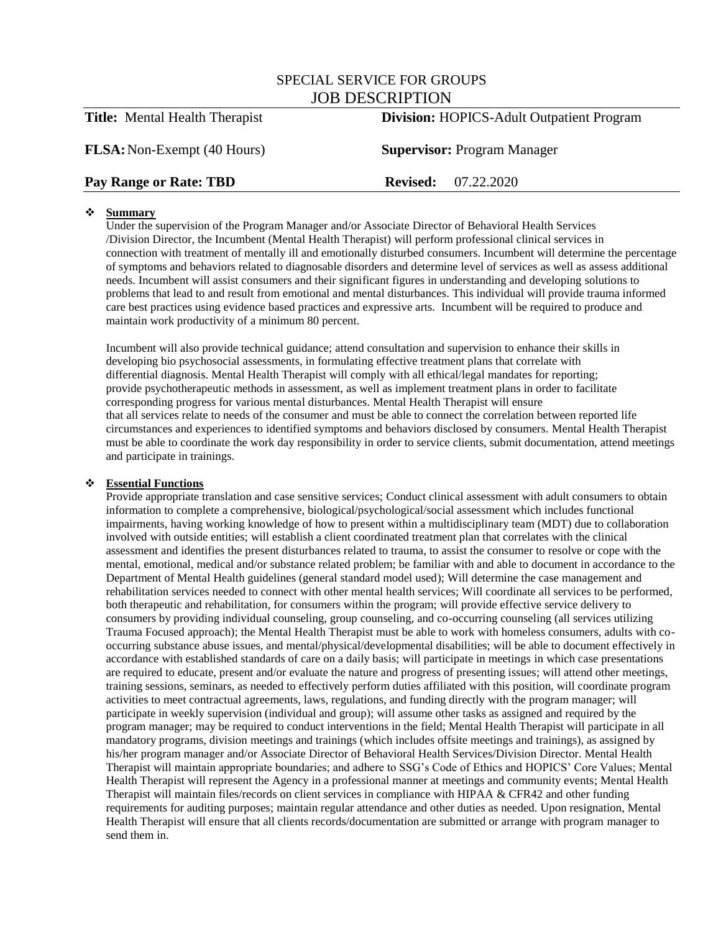# SPECIAL SERVICE FOR GROUPS JOB DESCRIPTION

# **Title:** Mental Health Therapist **Division:** HOPICS-Adult Outpatient Program

**FLSA:**Non-Exempt (40 Hours) **Supervisor:** Program Manager

## **Pay Range or Rate: TBD Revised:** 07.22.2020

## **Summary**

Under the supervision of the Program Manager and/or Associate Director of Behavioral Health Services /Division Director, the Incumbent (Mental Health Therapist) will perform professional clinical services in connection with treatment of mentally ill and emotionally disturbed consumers. Incumbent will determine the percentage of symptoms and behaviors related to diagnosable disorders and determine level of services as well as assess additional needs. Incumbent will assist consumers and their significant figures in understanding and developing solutions to problems that lead to and result from emotional and mental disturbances. This individual will provide trauma informed care best practices using evidence based practices and expressive arts. Incumbent will be required to produce and maintain work productivity of a minimum 80 percent.

Incumbent will also provide technical guidance; attend consultation and supervision to enhance their skills in developing bio psychosocial assessments, in formulating effective treatment plans that correlate with differential diagnosis. Mental Health Therapist will comply with all ethical/legal mandates for reporting; provide psychotherapeutic methods in assessment, as well as implement treatment plans in order to facilitate corresponding progress for various mental disturbances. Mental Health Therapist will ensure that all services relate to needs of the consumer and must be able to connect the correlation between reported life circumstances and experiences to identified symptoms and behaviors disclosed by consumers. Mental Health Therapist must be able to coordinate the work day responsibility in order to service clients, submit documentation, attend meetings and participate in trainings.

### **Essential Functions**

Provide appropriate translation and case sensitive services; Conduct clinical assessment with adult consumers to obtain information to complete a comprehensive, biological/psychological/social assessment which includes functional impairments, having working knowledge of how to present within a multidisciplinary team (MDT) due to collaboration involved with outside entities; will establish a client coordinated treatment plan that correlates with the clinical assessment and identifies the present disturbances related to trauma, to assist the consumer to resolve or cope with the mental, emotional, medical and/or substance related problem; be familiar with and able to document in accordance to the Department of Mental Health guidelines (general standard model used); Will determine the case management and rehabilitation services needed to connect with other mental health services; Will coordinate all services to be performed, both therapeutic and rehabilitation, for consumers within the program; will provide effective service delivery to consumers by providing individual counseling, group counseling, and co-occurring counseling (all services utilizing Trauma Focused approach); the Mental Health Therapist must be able to work with homeless consumers, adults with cooccurring substance abuse issues, and mental/physical/developmental disabilities; will be able to document effectively in accordance with established standards of care on a daily basis; will participate in meetings in which case presentations are required to educate, present and/or evaluate the nature and progress of presenting issues; will attend other meetings, training sessions, seminars, as needed to effectively perform duties affiliated with this position, will coordinate program activities to meet contractual agreements, laws, regulations, and funding directly with the program manager; will participate in weekly supervision (individual and group); will assume other tasks as assigned and required by the program manager; may be required to conduct interventions in the field; Mental Health Therapist will participate in all mandatory programs, division meetings and trainings (which includes offsite meetings and trainings), as assigned by his/her program manager and/or Associate Director of Behavioral Health Services/Division Director. Mental Health Therapist will maintain appropriate boundaries; and adhere to SSG's Code of Ethics and HOPICS' Core Values; Mental Health Therapist will represent the Agency in a professional manner at meetings and community events; Mental Health Therapist will maintain files/records on client services in compliance with HIPAA & CFR42 and other funding requirements for auditing purposes; maintain regular attendance and other duties as needed. Upon resignation, Mental Health Therapist will ensure that all clients records/documentation are submitted or arrange with program manager to send them in.